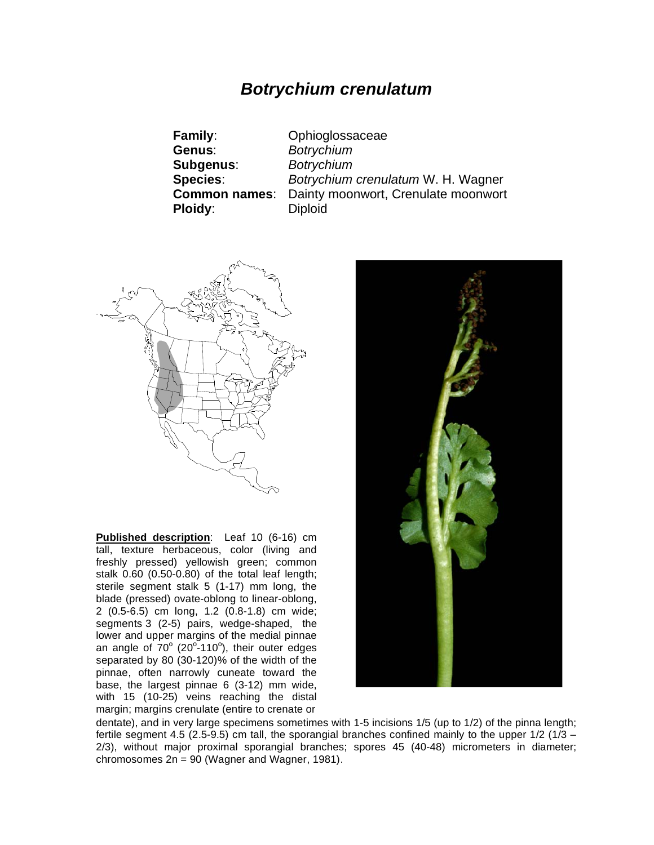# *Botrychium crenulatum*

| <b>Family:</b>       | Ophioglossaceae                     |
|----------------------|-------------------------------------|
| Genus:               | <b>Botrychium</b>                   |
| Subgenus:            | <b>Botrychium</b>                   |
| <b>Species:</b>      | Botrychium crenulatum W. H. Wagner  |
| <b>Common names:</b> | Dainty moonwort, Crenulate moonwort |
| Ploidy:              | <b>Diploid</b>                      |



**Published description**: Leaf 10 (6-16) cm tall, texture herbaceous, color (living and freshly pressed) yellowish green; common stalk 0.60 (0.50-0.80) of the total leaf length; sterile segment stalk 5 (1-17) mm long, the blade (pressed) ovate-oblong to linear-oblong, 2 (0.5-6.5) cm long, 1.2 (0.8-1.8) cm wide; segments 3 (2-5) pairs, wedge-shaped, the lower and upper margins of the medial pinnae an angle of  $70^{\circ}$  (20 $^{\circ}$ -110 $^{\circ}$ ), their outer edges separated by 80 (30-120)% of the width of the pinnae, often narrowly cuneate toward the base, the largest pinnae 6 (3-12) mm wide, with 15 (10-25) veins reaching the distal margin; margins crenulate (entire to crenate or



dentate), and in very large specimens sometimes with 1-5 incisions 1/5 (up to 1/2) of the pinna length; fertile segment 4.5 (2.5-9.5) cm tall, the sporangial branches confined mainly to the upper  $1/2$  ( $1/3$  – 2/3), without major proximal sporangial branches; spores 45 (40-48) micrometers in diameter; chromosomes 2n = 90 (Wagner and Wagner, 1981).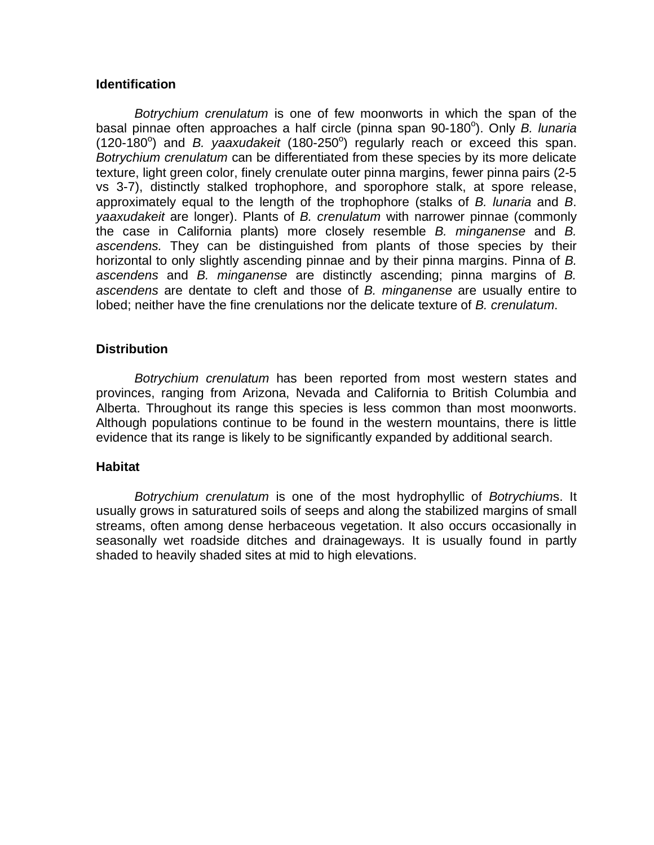### **Identification**

*Botrychium crenulatum* is one of few moonworts in which the span of the basal pinnae often approaches a half circle (pinna span 90-180°). Only *B. lunaria* (120-180<sup>o</sup>) and *B. yaaxudakeit* (180-250<sup>o</sup>) regularly reach or exceed this span. *Botrychium crenulatum* can be differentiated from these species by its more delicate texture, light green color, finely crenulate outer pinna margins, fewer pinna pairs (2-5 vs 3-7), distinctly stalked trophophore, and sporophore stalk, at spore release, approximately equal to the length of the trophophore (stalks of *B. lunaria* and *B*. *yaaxudakeit* are longer). Plants of *B. crenulatum* with narrower pinnae (commonly the case in California plants) more closely resemble *B. minganense* and *B. ascendens.* They can be distinguished from plants of those species by their horizontal to only slightly ascending pinnae and by their pinna margins. Pinna of *B. ascendens* and *B. minganense* are distinctly ascending; pinna margins of *B. ascendens* are dentate to cleft and those of *B. minganense* are usually entire to lobed; neither have the fine crenulations nor the delicate texture of *B. crenulatum*.

## **Distribution**

*Botrychium crenulatum* has been reported from most western states and provinces, ranging from Arizona, Nevada and California to British Columbia and Alberta. Throughout its range this species is less common than most moonworts. Although populations continue to be found in the western mountains, there is little evidence that its range is likely to be significantly expanded by additional search.

### **Habitat**

*Botrychium crenulatum* is one of the most hydrophyllic of *Botrychium*s. It usually grows in saturatured soils of seeps and along the stabilized margins of small streams, often among dense herbaceous vegetation. It also occurs occasionally in seasonally wet roadside ditches and drainageways. It is usually found in partly shaded to heavily shaded sites at mid to high elevations.